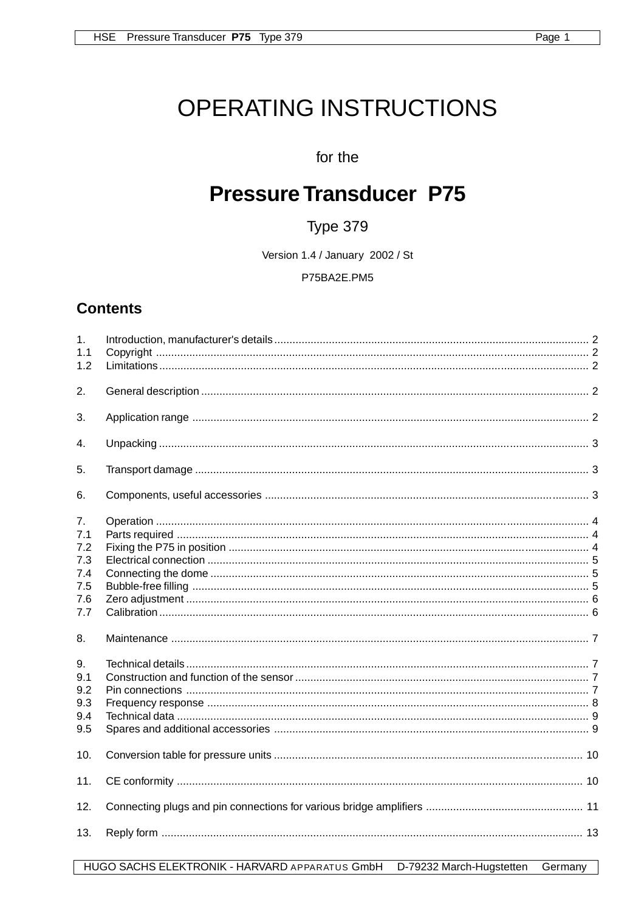# OPERATING INSTRUCTIONS

## for the

## **Pressure Transducer P75**

## Type 379

Version 1.4 / January 2002 / St

P75BA2E.PM5

## **Contents**

| 1.<br>1.1<br>1.2 |  |
|------------------|--|
| 2.               |  |
| 3.               |  |
| 4.               |  |
| 5.               |  |
| 6.               |  |
| 7.<br>7.1        |  |
| 7.2<br>7.3       |  |
| 7.4              |  |
| 7.5<br>7.6       |  |
| 7.7              |  |
| 8.               |  |
| 9.               |  |
| 9.1              |  |
| 9.2<br>9.3       |  |
| 9.4              |  |
| 9.5              |  |
| 10.              |  |
| 11.              |  |
| 12.              |  |
| 13.              |  |

HUGO SACHS ELEKTRONIK - HARVARD APPARATUS GmbH D-79232 March-Hugstetten Germany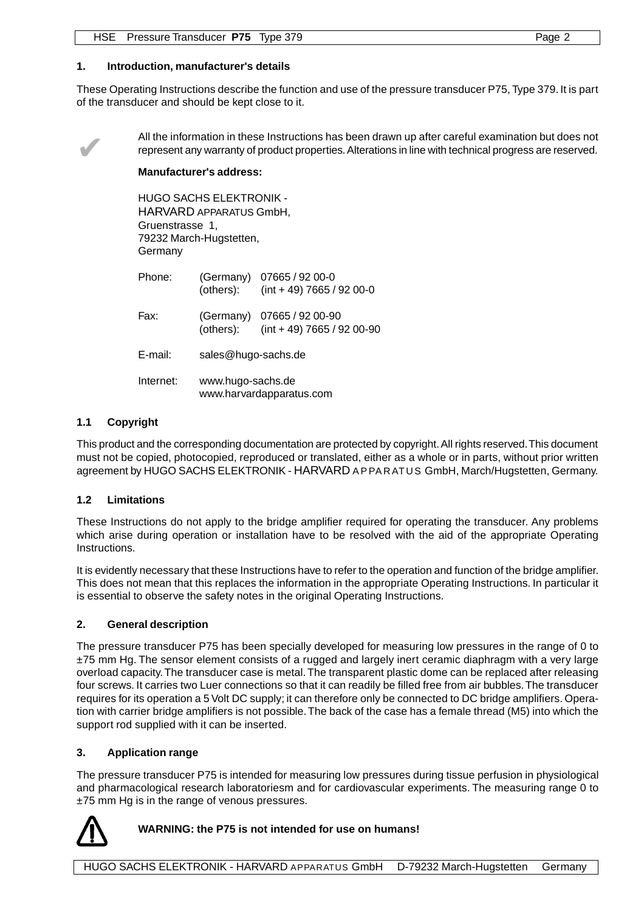#### **1. Introduction, manufacturer's details**

These Operating Instructions describe the function and use of the pressure transducer P75, Type 379. It is part of the transducer and should be kept close to it.



All the information in these Instructions has been drawn up after careful examination but does not<br>represent any warranty of product properties. Alterations in line with technical progress are reserved. represent any warranty of product properties. Alterations in line with technical progress are reserved.

#### **Manufacturer's address:**

HUGO SACHS ELEKTRONIK - HARVARD APPARATUS GmbH, Gruenstrasse 1, 79232 March-Hugstetten, Germany

| Phone:    | (others):                                     | (Germany) 07665 / 92 00-0<br>$(int + 49) 7665 / 92 00-0$   |  |
|-----------|-----------------------------------------------|------------------------------------------------------------|--|
| Fax:      | (others):                                     | (Germany) 07665 / 92 00-90<br>$(int + 49)$ 7665 / 92 00-90 |  |
| E-mail:   | sales@hugo-sachs.de                           |                                                            |  |
| Internet: | www.hugo-sachs.de<br>www.harvardapparatus.com |                                                            |  |

#### **1.1 Copyright**

This product and the corresponding documentation are protected by copyright. All rights reserved. This document must not be copied, photocopied, reproduced or translated, either as a whole or in parts, without prior written agreement by HUGO SACHS ELEKTRONIK - HARVARD APPARATUS GmbH, March/Hugstetten, Germany.

#### **1.2 Limitations**

These Instructions do not apply to the bridge amplifier required for operating the transducer. Any problems which arise during operation or installation have to be resolved with the aid of the appropriate Operating Instructions.

It is evidently necessary that these Instructions have to refer to the operation and function of the bridge amplifier. This does not mean that this replaces the information in the appropriate Operating Instructions. In particular it is essential to observe the safety notes in the original Operating Instructions.

#### **2. General description**

The pressure transducer P75 has been specially developed for measuring low pressures in the range of 0 to ±75 mm Hg. The sensor element consists of a rugged and largely inert ceramic diaphragm with a very large overload capacity. The transducer case is metal. The transparent plastic dome can be replaced after releasing four screws. It carries two Luer connections so that it can readily be filled free from air bubbles. The transducer requires for its operation a 5 Volt DC supply; it can therefore only be connected to DC bridge amplifiers. Operation with carrier bridge amplifiers is not possible. The back of the case has a female thread (M5) into which the support rod supplied with it can be inserted.

#### **3. Application range**

The pressure transducer P75 is intended for measuring low pressures during tissue perfusion in physiological and pharmacological research laboratoriesm and for cardiovascular experiments. The measuring range 0 to ±75 mm Hg is in the range of venous pressures.



#### **WARNING: the P75 is not intended for use on humans!**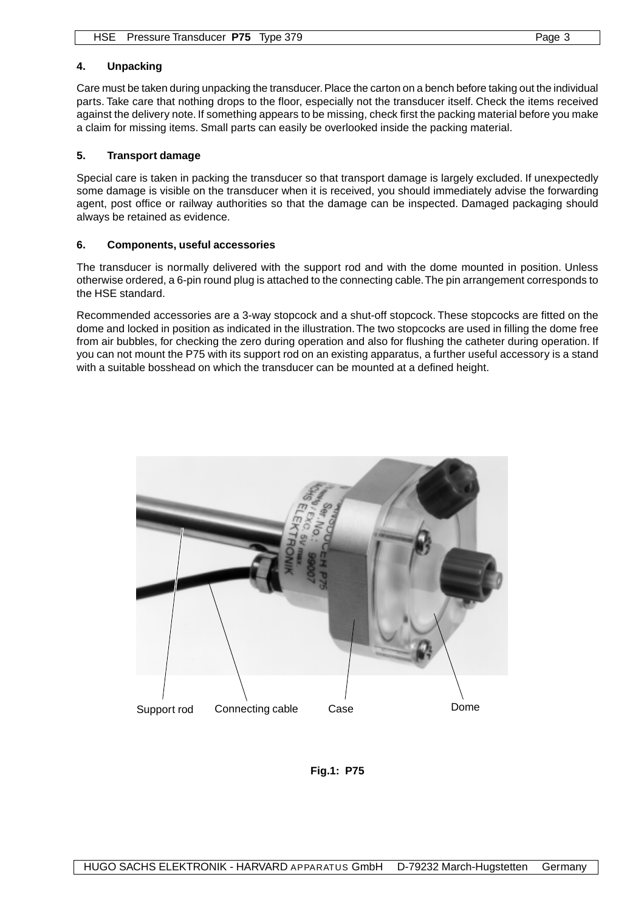#### **4. Unpacking**

Care must be taken during unpacking the transducer. Place the carton on a bench before taking out the individual parts. Take care that nothing drops to the floor, especially not the transducer itself. Check the items received against the delivery note. If something appears to be missing, check first the packing material before you make a claim for missing items. Small parts can easily be overlooked inside the packing material.

#### **5. Transport damage**

Special care is taken in packing the transducer so that transport damage is largely excluded. If unexpectedly some damage is visible on the transducer when it is received, you should immediately advise the forwarding agent, post office or railway authorities so that the damage can be inspected. Damaged packaging should always be retained as evidence.

#### **6. Components, useful accessories**

The transducer is normally delivered with the support rod and with the dome mounted in position. Unless otherwise ordered, a 6-pin round plug is attached to the connecting cable. The pin arrangement corresponds to the HSE standard.

Recommended accessories are a 3-way stopcock and a shut-off stopcock. These stopcocks are fitted on the dome and locked in position as indicated in the illustration. The two stopcocks are used in filling the dome free from air bubbles, for checking the zero during operation and also for flushing the catheter during operation. If you can not mount the P75 with its support rod on an existing apparatus, a further useful accessory is a stand with a suitable bosshead on which the transducer can be mounted at a defined height.



**Fig.1: P75**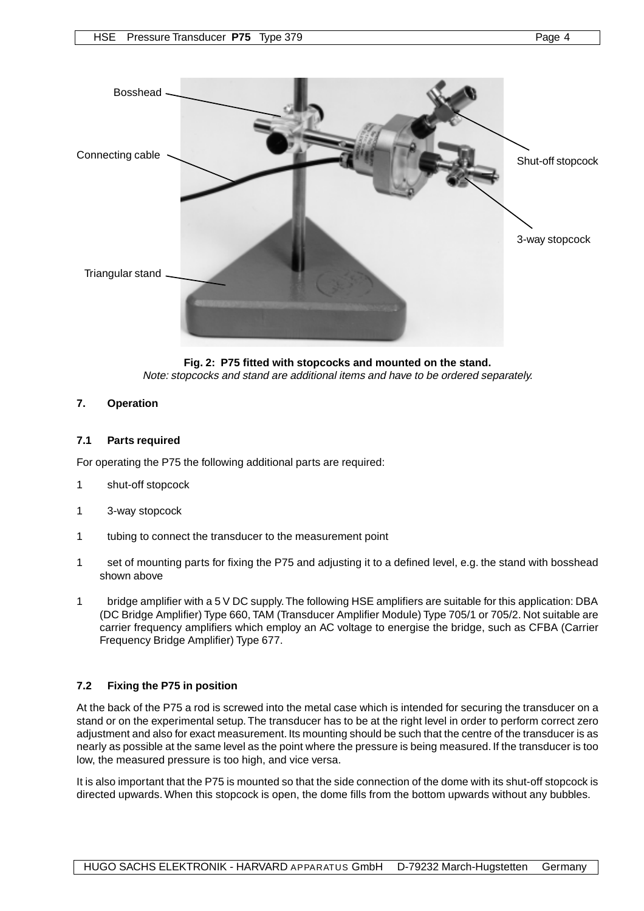

**Fig. 2: P75 fitted with stopcocks and mounted on the stand.** Note: stopcocks and stand are additional items and have to be ordered separately.

#### **7. Operation**

#### **7.1 Parts required**

For operating the P75 the following additional parts are required:

- 1 shut-off stopcock
- 1 3-way stopcock
- 1 tubing to connect the transducer to the measurement point
- 1 set of mounting parts for fixing the P75 and adjusting it to a defined level, e.g. the stand with bosshead shown above
- 1 bridge amplifier with a 5 V DC supply. The following HSE amplifiers are suitable for this application: DBA (DC Bridge Amplifier) Type 660, TAM (Transducer Amplifier Module) Type 705/1 or 705/2. Not suitable are carrier frequency amplifiers which employ an AC voltage to energise the bridge, such as CFBA (Carrier Frequency Bridge Amplifier) Type 677.

#### **7.2 Fixing the P75 in position**

At the back of the P75 a rod is screwed into the metal case which is intended for securing the transducer on a stand or on the experimental setup. The transducer has to be at the right level in order to perform correct zero adjustment and also for exact measurement. Its mounting should be such that the centre of the transducer is as nearly as possible at the same level as the point where the pressure is being measured. If the transducer is too low, the measured pressure is too high, and vice versa.

It is also important that the P75 is mounted so that the side connection of the dome with its shut-off stopcock is directed upwards. When this stopcock is open, the dome fills from the bottom upwards without any bubbles.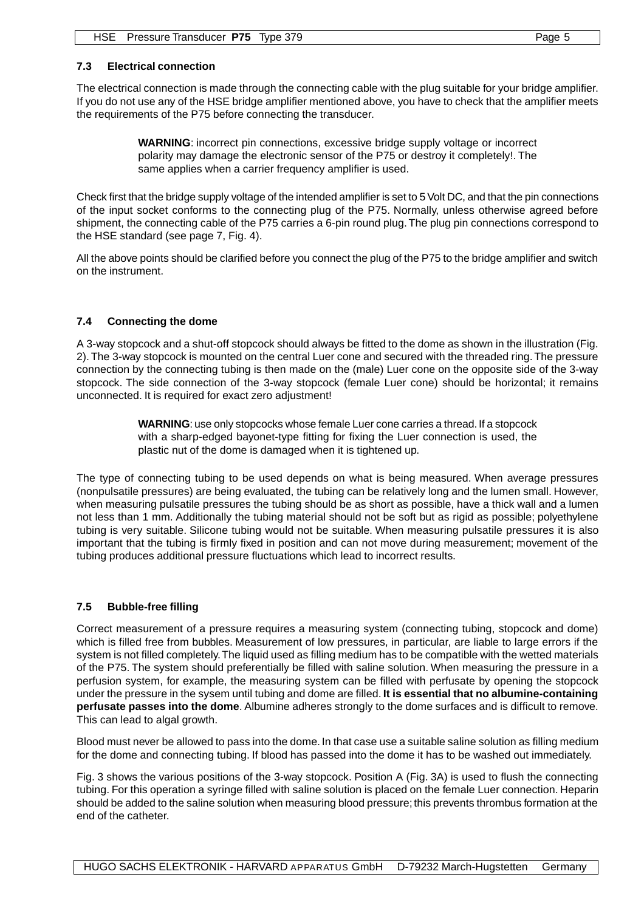#### **7.3 Electrical connection**

The electrical connection is made through the connecting cable with the plug suitable for your bridge amplifier. If you do not use any of the HSE bridge amplifier mentioned above, you have to check that the amplifier meets the requirements of the P75 before connecting the transducer.

> **WARNING**: incorrect pin connections, excessive bridge supply voltage or incorrect polarity may damage the electronic sensor of the P75 or destroy it completely!. The same applies when a carrier frequency amplifier is used.

Check first that the bridge supply voltage of the intended amplifier is set to 5 Volt DC, and that the pin connections of the input socket conforms to the connecting plug of the P75. Normally, unless otherwise agreed before shipment, the connecting cable of the P75 carries a 6-pin round plug. The plug pin connections correspond to the HSE standard (see page 7, Fig. 4).

All the above points should be clarified before you connect the plug of the P75 to the bridge amplifier and switch on the instrument.

#### **7.4 Connecting the dome**

A 3-way stopcock and a shut-off stopcock should always be fitted to the dome as shown in the illustration (Fig. 2). The 3-way stopcock is mounted on the central Luer cone and secured with the threaded ring. The pressure connection by the connecting tubing is then made on the (male) Luer cone on the opposite side of the 3-way stopcock. The side connection of the 3-way stopcock (female Luer cone) should be horizontal; it remains unconnected. It is required for exact zero adjustment!

> **WARNING**: use only stopcocks whose female Luer cone carries a thread. If a stopcock with a sharp-edged bayonet-type fitting for fixing the Luer connection is used, the plastic nut of the dome is damaged when it is tightened up.

The type of connecting tubing to be used depends on what is being measured. When average pressures (nonpulsatile pressures) are being evaluated, the tubing can be relatively long and the lumen small. However, when measuring pulsatile pressures the tubing should be as short as possible, have a thick wall and a lumen not less than 1 mm. Additionally the tubing material should not be soft but as rigid as possible; polyethylene tubing is very suitable. Silicone tubing would not be suitable. When measuring pulsatile pressures it is also important that the tubing is firmly fixed in position and can not move during measurement; movement of the tubing produces additional pressure fluctuations which lead to incorrect results.

#### **7.5 Bubble-free filling**

Correct measurement of a pressure requires a measuring system (connecting tubing, stopcock and dome) which is filled free from bubbles. Measurement of low pressures, in particular, are liable to large errors if the system is not filled completely. The liquid used as filling medium has to be compatible with the wetted materials of the P75. The system should preferentially be filled with saline solution. When measuring the pressure in a perfusion system, for example, the measuring system can be filled with perfusate by opening the stopcock under the pressure in the sysem until tubing and dome are filled. **It is essential that no albumine-containing perfusate passes into the dome**. Albumine adheres strongly to the dome surfaces and is difficult to remove. This can lead to algal growth.

Blood must never be allowed to pass into the dome. In that case use a suitable saline solution as filling medium for the dome and connecting tubing. If blood has passed into the dome it has to be washed out immediately.

Fig. 3 shows the various positions of the 3-way stopcock. Position A (Fig. 3A) is used to flush the connecting tubing. For this operation a syringe filled with saline solution is placed on the female Luer connection. Heparin should be added to the saline solution when measuring blood pressure; this prevents thrombus formation at the end of the catheter.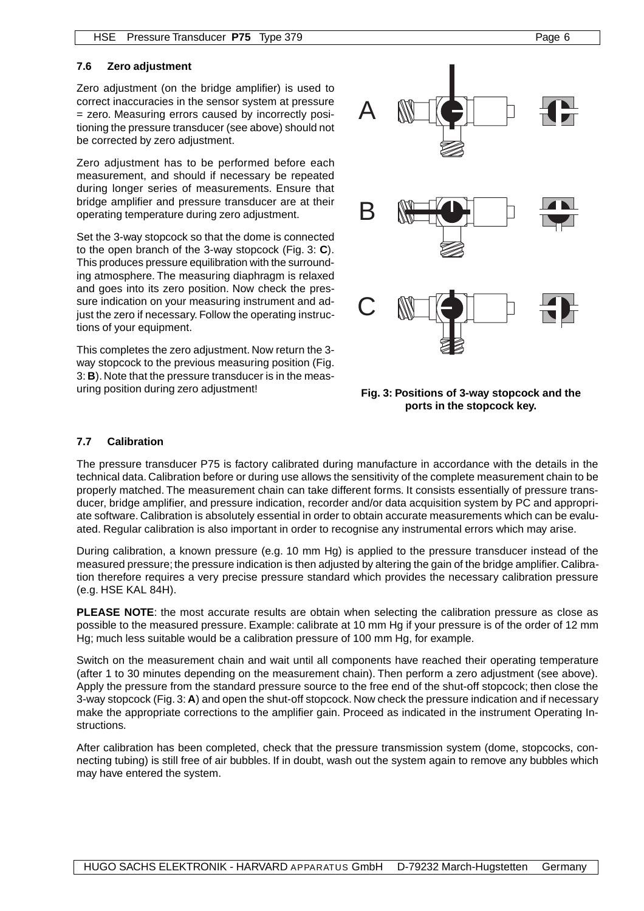#### **7.6 Zero adjustment**

Zero adjustment (on the bridge amplifier) is used to correct inaccuracies in the sensor system at pressure = zero. Measuring errors caused by incorrectly positioning the pressure transducer (see above) should not be corrected by zero adjustment.

Zero adjustment has to be performed before each measurement, and should if necessary be repeated during longer series of measurements. Ensure that bridge amplifier and pressure transducer are at their operating temperature during zero adjustment.

Set the 3-way stopcock so that the dome is connected to the open branch of the 3-way stopcock (Fig. 3: **C**). This produces pressure equilibration with the surrounding atmosphere. The measuring diaphragm is relaxed and goes into its zero position. Now check the pressure indication on your measuring instrument and adjust the zero if necessary. Follow the operating instructions of your equipment.

This completes the zero adjustment. Now return the 3 way stopcock to the previous measuring position (Fig. 3: **B**). Note that the pressure transducer is in the measuring position during zero adjustment!



**Fig. 3: Positions of 3-way stopcock and the ports in the stopcock key.**

#### **7.7 Calibration**

The pressure transducer P75 is factory calibrated during manufacture in accordance with the details in the technical data. Calibration before or during use allows the sensitivity of the complete measurement chain to be properly matched. The measurement chain can take different forms. It consists essentially of pressure transducer, bridge amplifier, and pressure indication, recorder and/or data acquisition system by PC and appropriate software. Calibration is absolutely essential in order to obtain accurate measurements which can be evaluated. Regular calibration is also important in order to recognise any instrumental errors which may arise.

During calibration, a known pressure (e.g. 10 mm Hg) is applied to the pressure transducer instead of the measured pressure; the pressure indication is then adjusted by altering the gain of the bridge amplifier. Calibration therefore requires a very precise pressure standard which provides the necessary calibration pressure (e.g. HSE KAL 84H).

**PLEASE NOTE:** the most accurate results are obtain when selecting the calibration pressure as close as possible to the measured pressure. Example: calibrate at 10 mm Hg if your pressure is of the order of 12 mm Hg; much less suitable would be a calibration pressure of 100 mm Hg, for example.

Switch on the measurement chain and wait until all components have reached their operating temperature (after 1 to 30 minutes depending on the measurement chain). Then perform a zero adjustment (see above). Apply the pressure from the standard pressure source to the free end of the shut-off stopcock; then close the 3-way stopcock (Fig. 3: **A**) and open the shut-off stopcock. Now check the pressure indication and if necessary make the appropriate corrections to the amplifier gain. Proceed as indicated in the instrument Operating Instructions.

After calibration has been completed, check that the pressure transmission system (dome, stopcocks, connecting tubing) is still free of air bubbles. If in doubt, wash out the system again to remove any bubbles which may have entered the system.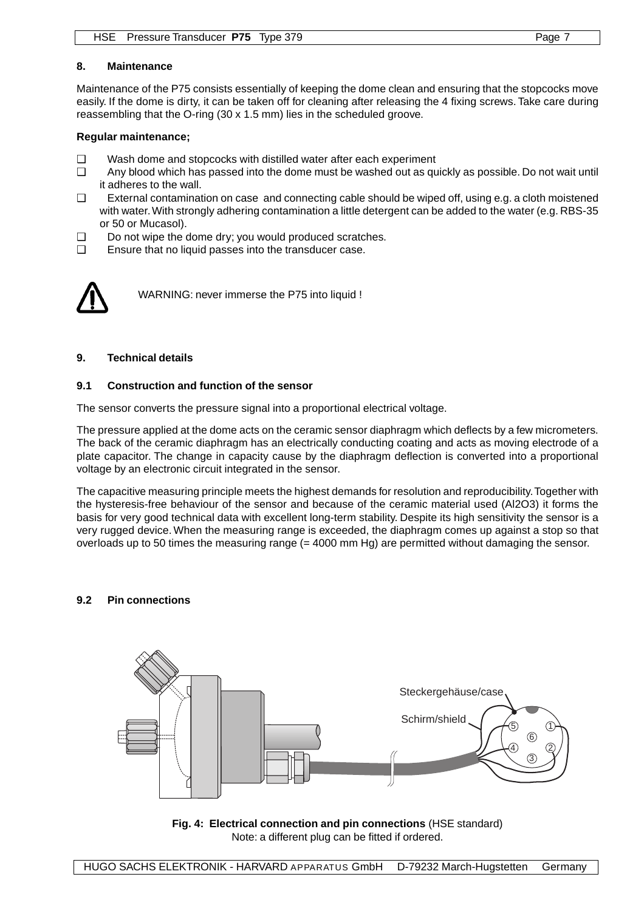#### **8. Maintenance**

Maintenance of the P75 consists essentially of keeping the dome clean and ensuring that the stopcocks move easily. If the dome is dirty, it can be taken off for cleaning after releasing the 4 fixing screws. Take care during reassembling that the O-ring (30 x 1.5 mm) lies in the scheduled groove.

#### **Regular maintenance;**

- ❑ Wash dome and stopcocks with distilled water after each experiment
- ❑ Any blood which has passed into the dome must be washed out as quickly as possible. Do not wait until it adheres to the wall.
- ❑ External contamination on case and connecting cable should be wiped off, using e.g. a cloth moistened with water. With strongly adhering contamination a little detergent can be added to the water (e.g. RBS-35 or 50 or Mucasol).
- ❑ Do not wipe the dome dry; you would produced scratches.
- ❑ Ensure that no liquid passes into the transducer case.



WARNING: never immerse the P75 into liquid !

#### **9. Technical details**

#### **9.1 Construction and function of the sensor**

The sensor converts the pressure signal into a proportional electrical voltage.

The pressure applied at the dome acts on the ceramic sensor diaphragm which deflects by a few micrometers. The back of the ceramic diaphragm has an electrically conducting coating and acts as moving electrode of a plate capacitor. The change in capacity cause by the diaphragm deflection is converted into a proportional voltage by an electronic circuit integrated in the sensor.

The capacitive measuring principle meets the highest demands for resolution and reproducibility. Together with the hysteresis-free behaviour of the sensor and because of the ceramic material used (Al2O3) it forms the basis for very good technical data with excellent long-term stability. Despite its high sensitivity the sensor is a very rugged device. When the measuring range is exceeded, the diaphragm comes up against a stop so that overloads up to 50 times the measuring range  $(= 4000 \text{ mm Hg})$  are permitted without damaging the sensor.

#### **9.2 Pin connections**



**Fig. 4: Electrical connection and pin connections** (HSE standard) Note: a different plug can be fitted if ordered.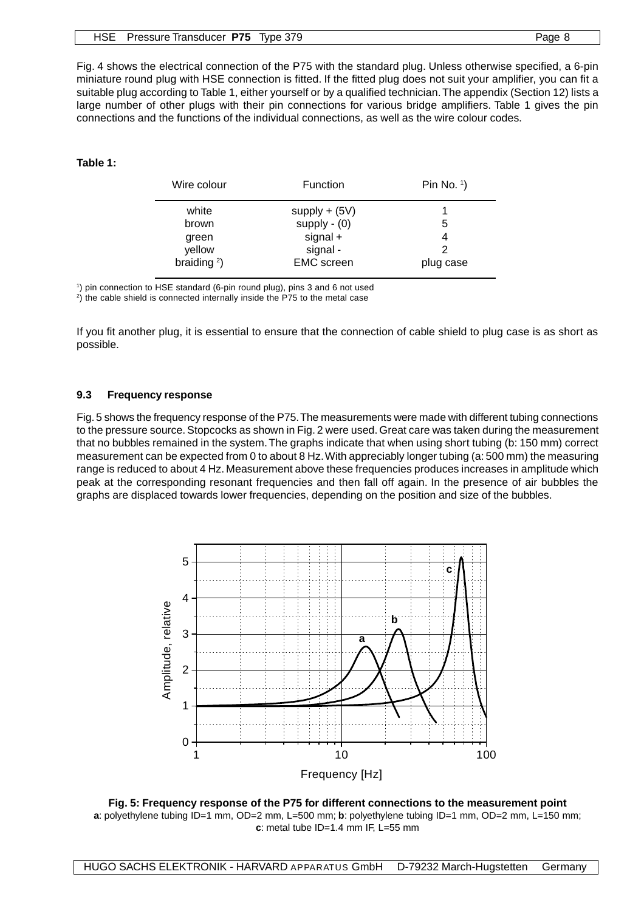| HSE Pressure Transducer P75 Type 379 | Page 8 |
|--------------------------------------|--------|
|                                      |        |

Fig. 4 shows the electrical connection of the P75 with the standard plug. Unless otherwise specified, a 6-pin miniature round plug with HSE connection is fitted. If the fitted plug does not suit your amplifier, you can fit a suitable plug according to Table 1, either yourself or by a qualified technician. The appendix (Section 12) lists a large number of other plugs with their pin connections for various bridge amplifiers. Table 1 gives the pin connections and the functions of the individual connections, as well as the wire colour codes.

#### **Table 1:**

| Wire colour    | Function          | Pin No. $1$ ) |
|----------------|-------------------|---------------|
| white          | $supply + (5V)$   |               |
| brown          | supply $-$ (0)    | 5             |
| green          | $signal +$        | 4             |
| yellow         | signal -          | 2             |
| braiding $2$ ) | <b>EMC</b> screen | plug case     |

1 ) pin connection to HSE standard (6-pin round plug), pins 3 and 6 not used

2 ) the cable shield is connected internally inside the P75 to the metal case

If you fit another plug, it is essential to ensure that the connection of cable shield to plug case is as short as possible.

#### **9.3 Frequency response**

Fig. 5 shows the frequency response of the P75. The measurements were made with different tubing connections to the pressure source. Stopcocks as shown in Fig. 2 were used. Great care was taken during the measurement that no bubbles remained in the system. The graphs indicate that when using short tubing (b: 150 mm) correct measurement can be expected from 0 to about 8 Hz. With appreciably longer tubing (a: 500 mm) the measuring range is reduced to about 4 Hz. Measurement above these frequencies produces increases in amplitude which peak at the corresponding resonant frequencies and then fall off again. In the presence of air bubbles the graphs are displaced towards lower frequencies, depending on the position and size of the bubbles.



**Fig. 5: Frequency response of the P75 for different connections to the measurement point a**: polyethylene tubing ID=1 mm, OD=2 mm, L=500 mm; **b**: polyethylene tubing ID=1 mm, OD=2 mm, L=150 mm; **c**: metal tube ID=1.4 mm IF, L=55 mm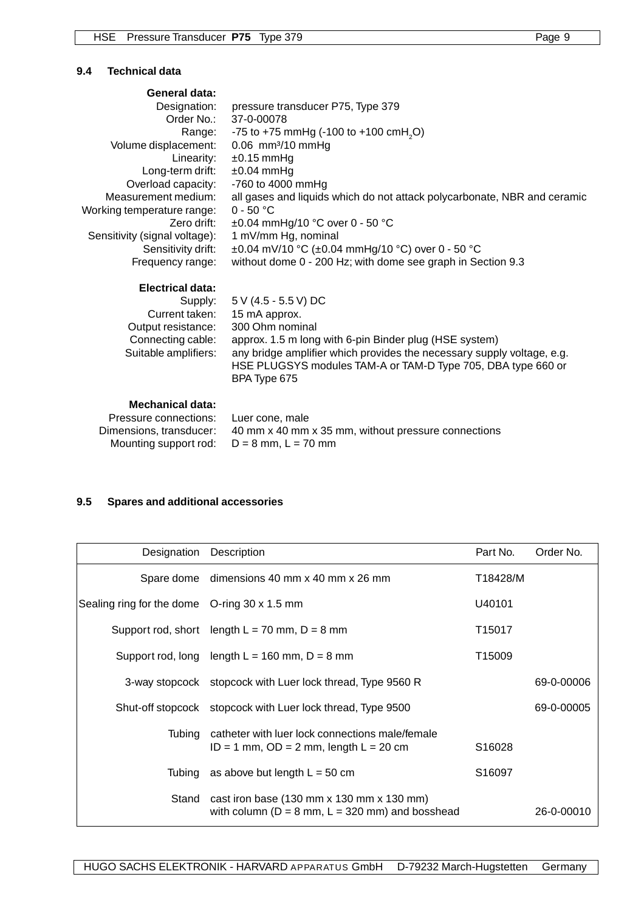#### **9.4 Technical data**

| General data:                 |                                                                          |
|-------------------------------|--------------------------------------------------------------------------|
| Designation:                  | pressure transducer P75, Type 379                                        |
| Order No.:                    | 37-0-00078                                                               |
| Range:                        | -75 to +75 mmHg (-100 to +100 cmH <sub>2</sub> O)                        |
| Volume displacement:          | $0.06$ mm <sup>3</sup> /10 mmHg                                          |
| Linearity:                    | $±0.15$ mmHg                                                             |
| Long-term drift:              | $±0.04$ mmHg                                                             |
| Overload capacity:            | -760 to 4000 mmHg                                                        |
| Measurement medium:           | all gases and liquids which do not attack polycarbonate, NBR and ceramic |
| Working temperature range:    | $0 - 50 °C$                                                              |
| Zero drift:                   | $\pm 0.04$ mmHg/10 °C over 0 - 50 °C                                     |
| Sensitivity (signal voltage): | 1 mV/mm Hg, nominal                                                      |
| Sensitivity drift:            | ±0.04 mV/10 °C (±0.04 mmHg/10 °C) over 0 - 50 °C                         |
| Frequency range:              | without dome 0 - 200 Hz; with dome see graph in Section 9.3              |
| Electrical data:              |                                                                          |
| Supply:                       | 5 V (4.5 - 5.5 V) DC                                                     |
| Current taken:                | 15 mA approx.                                                            |
| Output resistance:            | 300 Ohm nominal                                                          |
| Connecting cable:             | approx. 1.5 m long with 6-pin Binder plug (HSE system)                   |
| Suitable amplifiers:          | any bridge amplifier which provides the necessary supply voltage, e.g.   |
|                               | HSE PLUGSYS modules TAM-A or TAM-D Type 705, DBA type 660 or             |
|                               | BPA Type 675                                                             |
| <b>Mechanical data:</b>       |                                                                          |
| Pressure connections:         | Luer cone, male                                                          |
| Dimensions, transducer:       | 40 mm x 40 mm x 35 mm, without pressure connections                      |

## **9.5 Spares and additional accessories**

Mounting support rod:  $D = 8$  mm,  $L = 70$  mm

| Designation                                  | Description                                                                                                                           | Part No.           | Order No.  |
|----------------------------------------------|---------------------------------------------------------------------------------------------------------------------------------------|--------------------|------------|
| Spare dome                                   | dimensions 40 mm x 40 mm x 26 mm                                                                                                      | T18428/M           |            |
| Sealing ring for the dome O-ring 30 x 1.5 mm |                                                                                                                                       | U40101             |            |
|                                              | Support rod, short length $L = 70$ mm, $D = 8$ mm                                                                                     | T <sub>15017</sub> |            |
|                                              | Support rod, long length $L = 160$ mm, $D = 8$ mm                                                                                     | T <sub>15009</sub> |            |
|                                              | 3-way stopcock stopcock with Luer lock thread, Type 9560 R                                                                            |                    | 69-0-00006 |
|                                              | Shut-off stopcock stopcock with Luer lock thread, Type 9500                                                                           |                    | 69-0-00005 |
| Tubina                                       | catheter with luer lock connections male/female<br>$ID = 1$ mm, $OD = 2$ mm, length $L = 20$ cm                                       | S <sub>16028</sub> |            |
| Tubing                                       | as above but length $L = 50$ cm                                                                                                       | S <sub>16097</sub> |            |
| Stand                                        | cast iron base $(130 \text{ mm} \times 130 \text{ mm} \times 130 \text{ mm})$<br>with column ( $D = 8$ mm, $L = 320$ mm) and bosshead |                    | 26-0-00010 |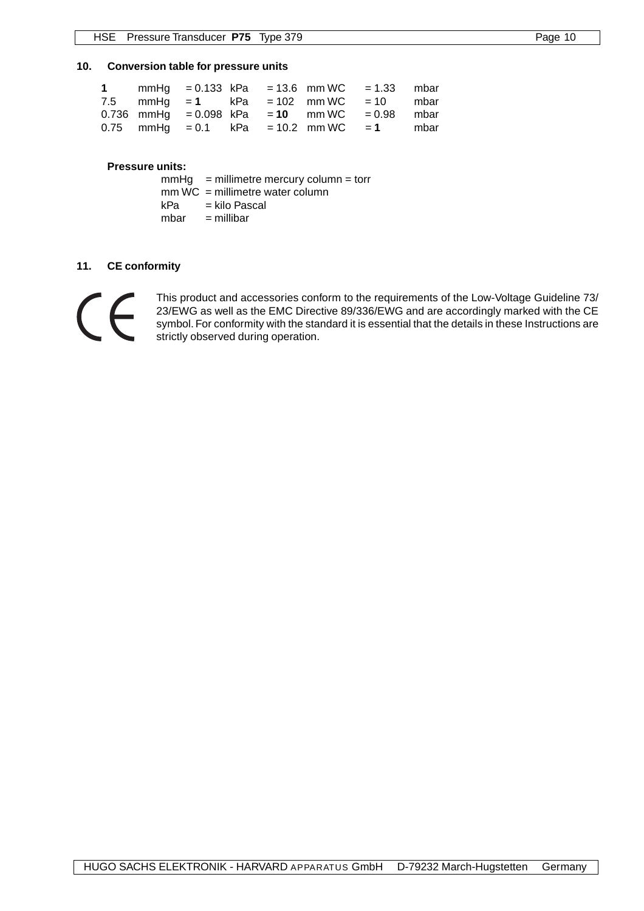#### **10. Conversion table for pressure units**

|  |  | 1 mmHg = 0.133 kPa = 13.6 mm WC = 1.33 mbar   |  |
|--|--|-----------------------------------------------|--|
|  |  | 7.5 mmHg = 1 kPa = 102 mm WC = 10 mbar        |  |
|  |  | 0.736 mmHg = 0.098 kPa = 10 mm WC = 0.98 mbar |  |
|  |  | 0.75 mmHg = 0.1 kPa = 10.2 mm WC = 1 mbar     |  |

#### **Pressure units:**

|     | $mmHg$ = millimetre mercury column = torr |
|-----|-------------------------------------------|
|     | $mm WC = millimeter water column$         |
| kPa | = kilo Pascal                             |
|     | $mbar =$ millibar                         |

#### **11. CE conformity**



This product and accessories conform to the requirements of the Low-Voltage Guideline 73/ 23/EWG as well as the EMC Directive 89/336/EWG and are accordingly marked with the CE symbol. For conformity with the standard it is essential that the details in these Instructions are strictly observed during operation.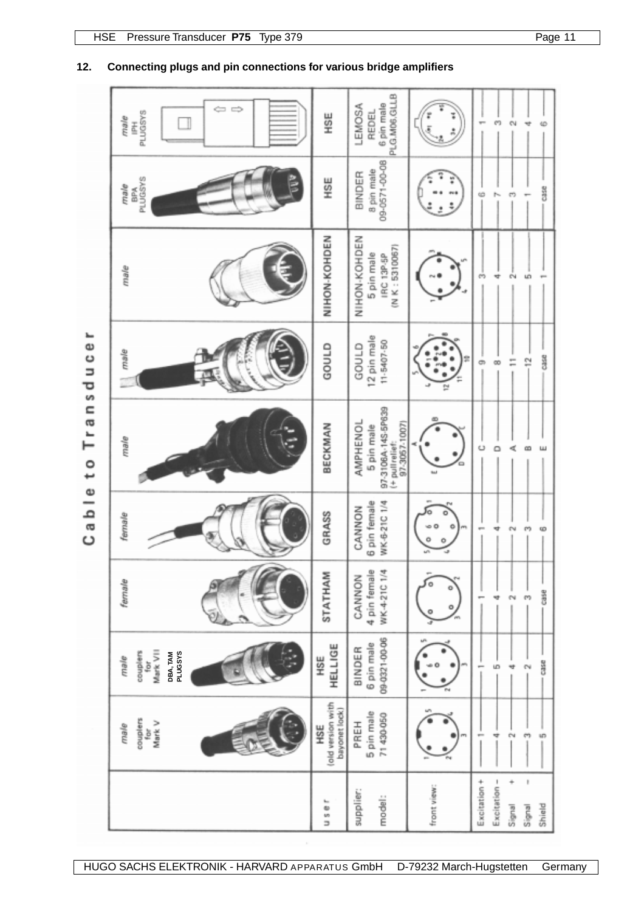|               | $\Leftarrow$ $\Rightarrow$<br><b>PLUGSYS</b><br>male<br>졸        | HSE                                       | PLG.M06.GLLB<br>6 pin male<br>LEMOSA<br><b>REDEL</b>                            |                        | m<br>¢V                                                              |
|---------------|------------------------------------------------------------------|-------------------------------------------|---------------------------------------------------------------------------------|------------------------|----------------------------------------------------------------------|
|               | PLUGSYS<br>male<br>ăg                                            | HSE                                       | 09-0571-00-08<br>8 pin male<br>BINDER                                           |                        | Case<br>$\sigma$<br>¢<br>ŀ.                                          |
|               | male                                                             | NIHON-KOHDEN                              | NIHON-KOHDEN<br>(N K: 5310067)<br>5 pin male<br>IRC 13P-5P                      |                        | e4<br>LÖ<br>m<br>4                                                   |
| Transducer    | male                                                             | annes                                     | 12 pin male<br>11-5407-50<br>GOULD                                              | فلما<br>$\overline{a}$ | Case<br>12<br>Ξ<br>$\infty$<br>ø                                     |
| $\frac{1}{2}$ | male                                                             | BECKMAN                                   | 97-3106A-14S-5P639<br>AMPHENOL<br>97-3057-1007)<br>5 pin male<br>(+ pullrelief: |                        | Ü<br>$\circ$<br>哎<br>ස                                               |
| Cable         | female                                                           | GRASS                                     | 6 pin female<br>WK-6-21C 1/4<br>CANNON                                          |                        | ę,<br>$^{2}$<br>₩<br>œ                                               |
|               | fermale                                                          | STATHAM                                   | 4 pin female<br>WK-4-21C 1/4<br>CANNON                                          | o                      | G35e<br>N<br>e,<br>Ħ                                                 |
|               | Mark VII<br><b>PLUGSYS</b><br>couplers<br>DBA, TAM<br>male<br>įō | HELLIGE<br>НŠЕ                            | 09-0321-00-06<br>6 pin male<br>BINDER                                           |                        | Case<br>ú<br>÷<br>N<br>$\overline{\phantom{a}}$                      |
|               | couplers<br>Mark V<br>male<br>for                                | lold version with<br>bayonet lock)<br>HSE | 5 pin male<br>71430-050<br>PREH                                                 |                        | $\frac{m}{2}$<br>u?)<br>Ť<br>ċ,<br>÷                                 |
|               |                                                                  | $U$ 5 e r                                 | supplier:<br>model:                                                             | front view:            | t<br>Excitation +<br>Excitation -<br>÷<br>Shield<br>Signal<br>Signal |

### **12. Connecting plugs and pin connections for various bridge amplifiers**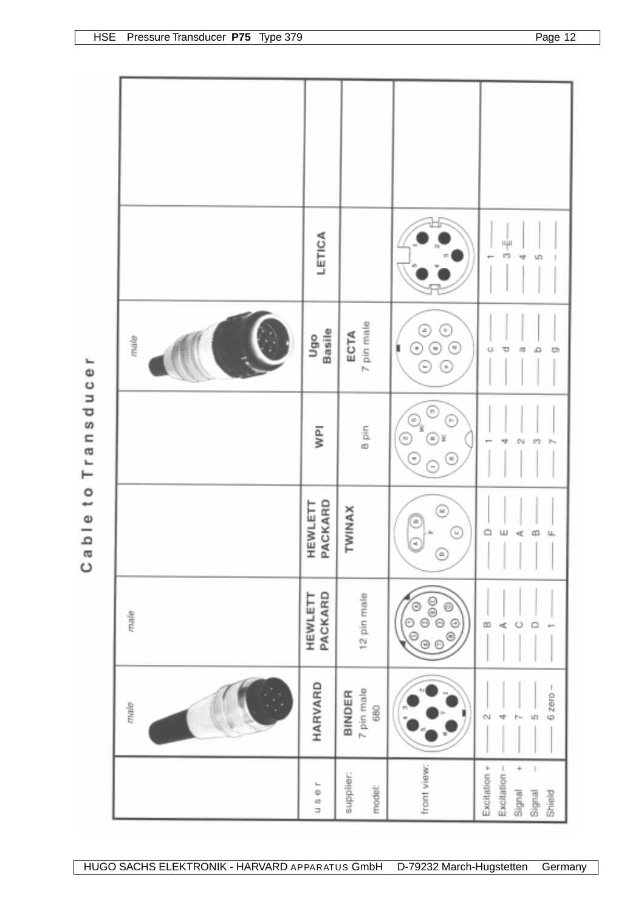|                     |      | LETICA             |                             |                                                                                             | цjи<br>69<br>U)<br>48                                                           |
|---------------------|------|--------------------|-----------------------------|---------------------------------------------------------------------------------------------|---------------------------------------------------------------------------------|
|                     | male | Ugo<br>Basile      | 7 pin male<br>ECTA          | ☉<br>☉<br>€<br>◉<br>€<br>Θ<br>⊙                                                             | o<br>τ<br>œ<br>۵<br>g                                                           |
| Cable to Transducer |      | <b>IdM</b>         | 8 pin                       | ☉<br>C<br>O,<br>€<br>☺<br>Θ<br>$\overline{\phantom{a}}$<br>Ξ                                | N<br>m                                                                          |
|                     |      | PACKARD<br>HEWLETT | <b>TWINAX</b>               | ☺<br>Ĉ<br>Œ<br>G<br>◉                                                                       | $\circ$<br>Ш<br>$\omega$<br>¢<br>u.<br>٠<br>л.<br>. .<br>٠                      |
|                     | male | PACKARD<br>HEWLETT | 12 pin male                 | $\begin{matrix} 0 \\ 0 \\ 0 \end{matrix}$<br>⊜<br>$\odot$<br>Ø<br>$\circledcirc$<br>$\odot$ | $\infty$<br>$\circ$<br>ď                                                        |
|                     | male | HARVARD            | 7 pin male<br>BINDER<br>680 |                                                                                             | $6$ zero $-$<br>Ō.<br>S<br>4                                                    |
|                     |      | ı.<br>US O         | supplier:<br>model:         | front view:                                                                                 | ÷<br>Excitation +<br>Excitation -<br>$\mathbf{I}$<br>Signal<br>Shield<br>Signal |